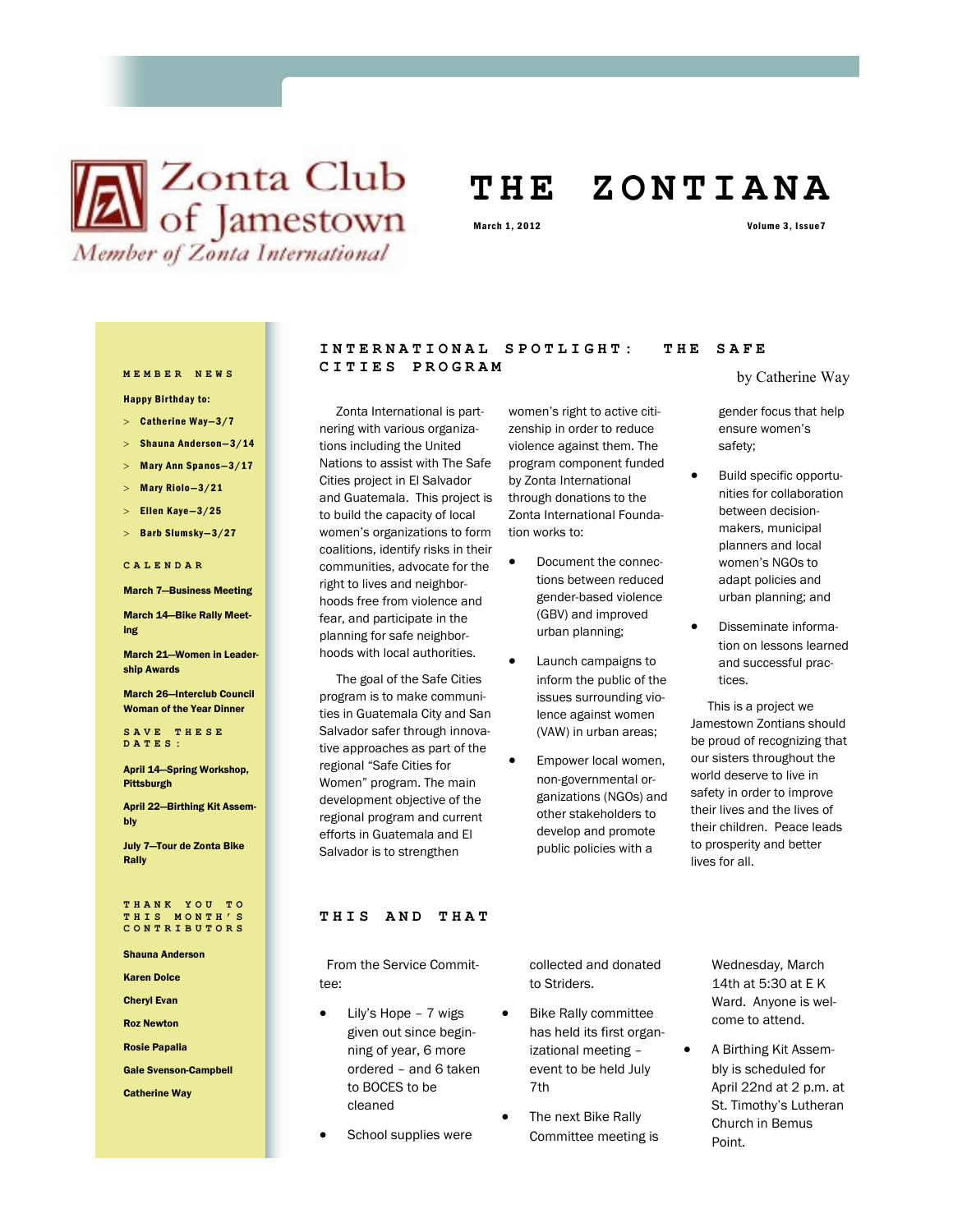# **X** Club of Jamestown Member of Zonta International

## **T H E Z O N T I A N A**

Happy Birthday to:

- $>$  Catherine Way-3/7
- Shauna Anderson—3/14
- $>$  Mary Ann Spanos-3/17
- Mary Riolo—3/21
- $>$  Ellen Kaye-3/25
- > Barb Slumsky-3/27

### **CALENDAR**

March 7—Business Meeting

March 14—Bike Rally Meeting

March 21—Women in Leadership Awards

March 26—Interclub Council Woman of the Year Dinner

**SAVE THESE DATES:**

## April 14—Spring Workshop, **Pittsburgh**

April 22—Birthing Kit Assembly

July 7—Tour de Zonta Bike Rally

### **THANK YOU TO THIS MONTH'S CONTRIBUTORS**

Shauna Anderson

Karen Dolce

Cheryl Evan

Roz Newton Rosie Papalia

Gale Svenson-Campbell

## Catherine Way

## INTERNATIONAL SPOTLIGHT: THE SAFE **CITIES PROGRAM MEMBER NEWS**

 Zonta International is partnering with various organizations including the United Nations to assist with The Safe Cities project in El Salvador and Guatemala. This project is to build the capacity of local women's organizations to form coalitions, identify risks in their communities, advocate for the right to lives and neighborhoods free from violence and fear, and participate in the planning for safe neighborhoods with local authorities.

 The goal of the Safe Cities program is to make communities in Guatemala City and San Salvador safer through innovative approaches as part of the regional "Safe Cities for Women" program. The main development objective of the regional program and current efforts in Guatemala and El Salvador is to strengthen

## zenship in order to reduce violence against them. The program component funded by Zonta International Zonta International Founda-

- Document the connections between reduced gender-based violence (GBV) and improved urban planning;
- Launch campaigns to issues surrounding violence against women (VAW) in urban areas;
- non-governmental organizations (NGOs) and other stakeholders to develop and promote public policies with a

by Catherine Way

gender focus that help ensure women's safety;

- Build specific opportunities for collaboration between decisionmakers, municipal planners and local women's NGOs to adapt policies and urban planning; and
- Disseminate information on lessons learned and successful practices.

 This is a project we Jamestown Zontians should be proud of recognizing that our sisters throughout the world deserve to live in safety in order to improve their lives and the lives of their children. Peace leads to prosperity and better lives for all.

## **THIS AND THAT**

 From the Service Committee:

- Lily's Hope 7 wigs given out since beginning of year, 6 more ordered – and 6 taken to BOCES to be cleaned
- School supplies were

collected and donated to Striders.

- Bike Rally committee has held its first organizational meeting – event to be held July 7th
- The next Bike Rally Committee meeting is

Wednesday, March 14th at 5:30 at E K Ward. Anyone is welcome to attend.

 A Birthing Kit Assembly is scheduled for April 22nd at 2 p.m. at St. Timothy's Lutheran Church in Bemus Point.

women's right to active citithrough donations to the tion works to:

- 
- inform the public of the
- Empower local women,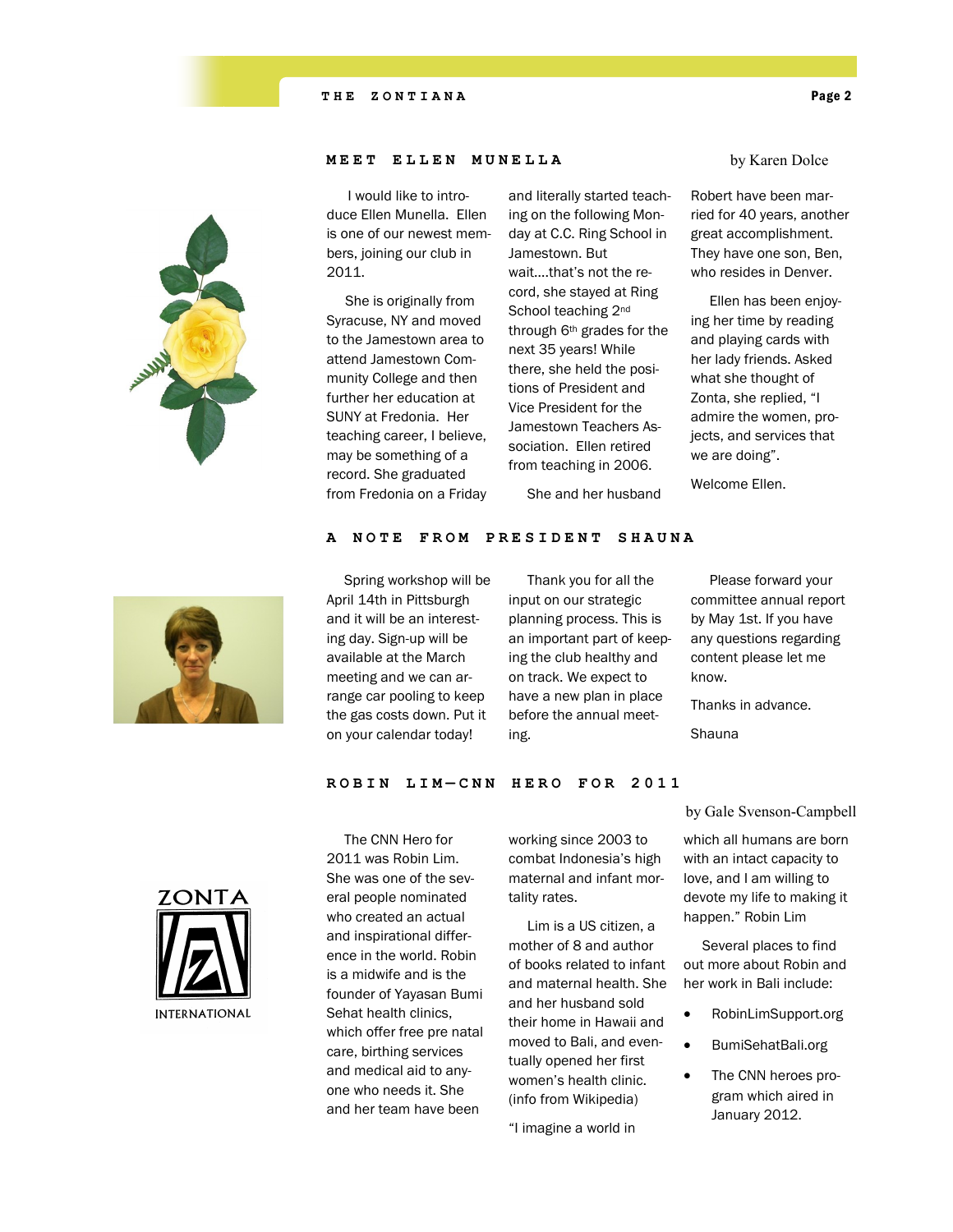

## **MEET ELLEN MUNELLA**

 I would like to introduce Ellen Munella. Ellen is one of our newest members, joining our club in 2011.

 She is originally from Syracuse, NY and moved to the Jamestown area to attend Jamestown Community College and then further her education at SUNY at Fredonia. Her teaching career, I believe, may be something of a record. She graduated from Fredonia on a Friday and literally started teaching on the following Monday at C.C. Ring School in Jamestown. But wait….that's not the record, she stayed at Ring School teaching 2<sup>nd</sup> through 6<sup>th</sup> grades for the next 35 years! While there, she held the positions of President and Vice President for the Jamestown Teachers Association. Ellen retired from teaching in 2006.

She and her husband

by Karen Dolce

Robert have been married for 40 years, another great accomplishment. They have one son, Ben, who resides in Denver.

 Ellen has been enjoying her time by reading and playing cards with her lady friends. Asked what she thought of Zonta, she replied, "I admire the women, projects, and services that we are doing".

Welcome Ellen.



 Spring workshop will be April 14th in Pittsburgh and it will be an interesting day. Sign-up will be available at the March meeting and we can arrange car pooling to keep the gas costs down. Put it on your calendar today!

 Thank you for all the input on our strategic planning process. This is an important part of keeping the club healthy and on track. We expect to have a new plan in place before the annual meeting.

 Please forward your committee annual report by May 1st. If you have any questions regarding content please let me know.

Thanks in advance.

Shauna

**ROBIN LIM — C N N H E R O F O R 2 0 1 1**

A NOTE FROM PRESIDENT SHAUNA



 The CNN Hero for 2011 was Robin Lim. She was one of the several people nominated who created an actual and inspirational difference in the world. Robin is a midwife and is the founder of Yayasan Bumi Sehat health clinics, which offer free pre natal care, birthing services and medical aid to anyone who needs it. She and her team have been

working since 2003 to combat Indonesia's high maternal and infant mortality rates.

 Lim is a US citizen, a mother of 8 and author of books related to infant and maternal health. She and her husband sold their home in Hawaii and moved to Bali, and eventually opened her first women's health clinic. (info from Wikipedia)

"I imagine a world in

by Gale Svenson-Campbell

which all humans are born with an intact capacity to love, and I am willing to devote my life to making it happen." Robin Lim

 Several places to find out more about Robin and her work in Bali include:

- RobinLimSupport.org
- BumiSehatBali.org

 The CNN heroes program which aired in January 2012.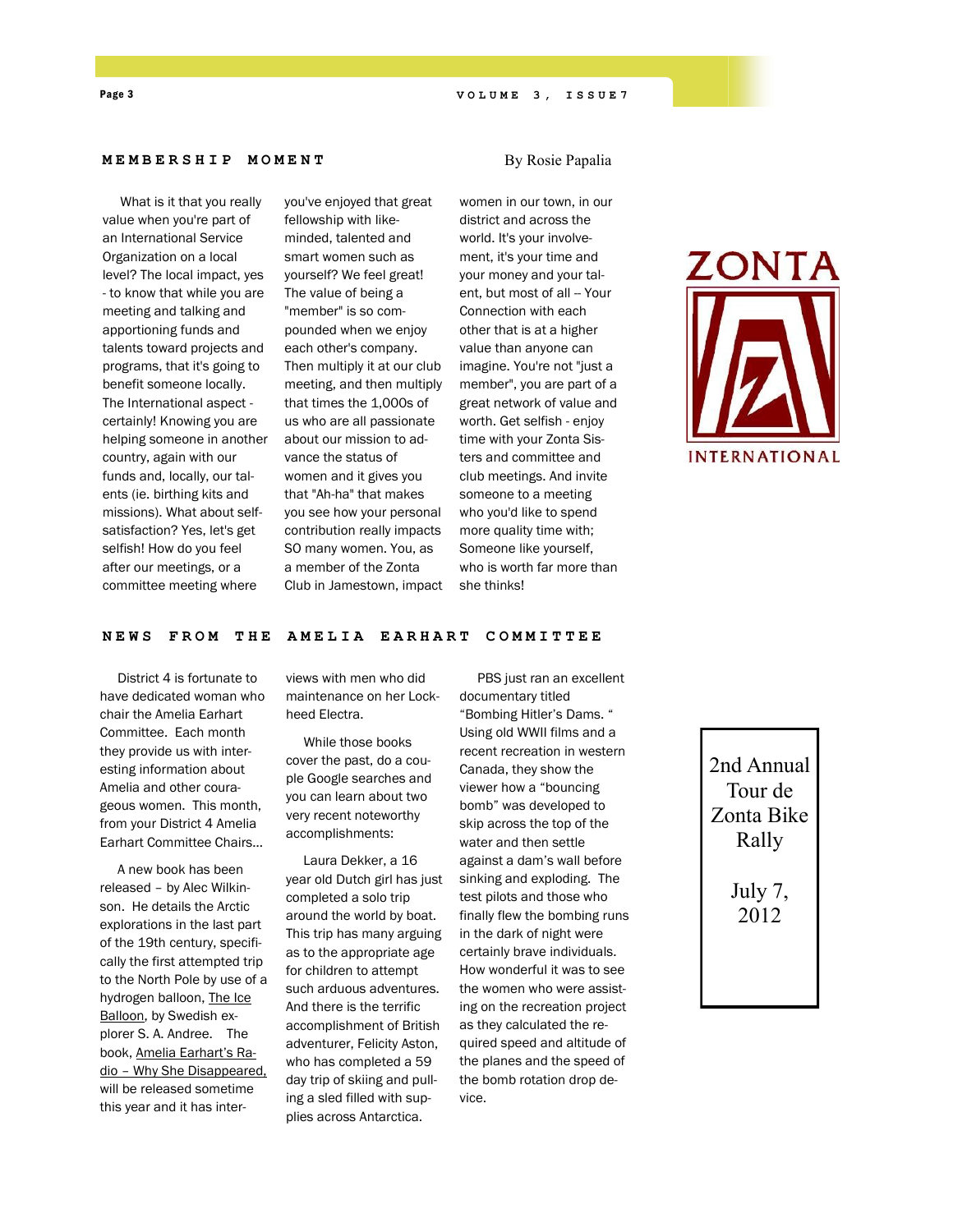## Page 3 **V O L U M E 3, ISSUE 7**

By Rosie Papalia

## **MEMBERSHIP M O M E N T**

 What is it that you really value when you're part of an International Service Organization on a local level? The local impact, yes - to know that while you are meeting and talking and apportioning funds and talents toward projects and programs, that it's going to benefit someone locally. The International aspect certainly! Knowing you are helping someone in another country, again with our funds and, locally, our talents (ie. birthing kits and missions). What about selfsatisfaction? Yes, let's get selfish! How do you feel after our meetings, or a committee meeting where

you've enjoyed that great fellowship with likeminded, talented and smart women such as yourself? We feel great! The value of being a "member" is so compounded when we enjoy each other's company. Then multiply it at our club meeting, and then multiply that times the 1,000s of us who are all passionate about our mission to advance the status of women and it gives you that "Ah-ha" that makes you see how your personal contribution really impacts SO many women. You, as a member of the Zonta Club in Jamestown, impact

women in our town, in our district and across the world. It's your involvement, it's your time and your money and your talent, but most of all -- Your Connection with each other that is at a higher value than anyone can imagine. You're not "just a member", you are part of a great network of value and worth. Get selfish - enjoy time with your Zonta Sisters and committee and club meetings. And invite someone to a meeting who you'd like to spend more quality time with; Someone like yourself, who is worth far more than she thinks!



## **NEWS FROM THE A MELIA E A R H A R T C O M M I T T E E**

 District 4 is fortunate to have dedicated woman who chair the Amelia Earhart Committee. Each month they provide us with interesting information about Amelia and other courageous women. This month, from your District 4 Amelia Earhart Committee Chairs…

 A new book has been released – by Alec Wilkinson. He details the Arctic explorations in the last part of the 19th century, specifically the first attempted trip to the North Pole by use of a hydrogen balloon, The Ice Balloon, by Swedish explorer S. A. Andree. The book, Amelia Earhart's Radio – Why She Disappeared, will be released sometime this year and it has interviews with men who did maintenance on her Lockheed Electra.

 While those books cover the past, do a couple Google searches and you can learn about two very recent noteworthy accomplishments:

 Laura Dekker, a 16 year old Dutch girl has just completed a solo trip around the world by boat. This trip has many arguing as to the appropriate age for children to attempt such arduous adventures. And there is the terrific accomplishment of British adventurer, Felicity Aston, who has completed a 59 day trip of skiing and pulling a sled filled with supplies across Antarctica.

 PBS just ran an excellent documentary titled "Bombing Hitler's Dams. " Using old WWII films and a recent recreation in western Canada, they show the viewer how a "bouncing bomb" was developed to skip across the top of the water and then settle against a dam's wall before sinking and exploding. The test pilots and those who finally flew the bombing runs in the dark of night were certainly brave individuals. How wonderful it was to see the women who were assisting on the recreation project as they calculated the required speed and altitude of the planes and the speed of the bomb rotation drop device.